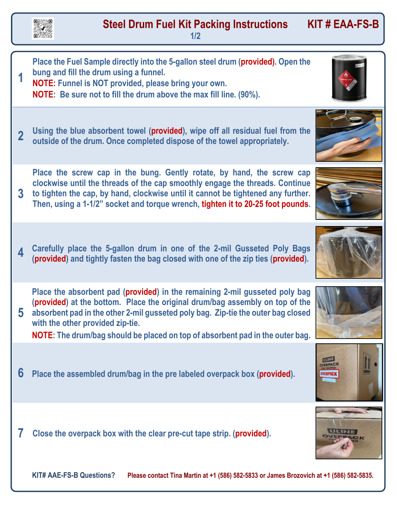